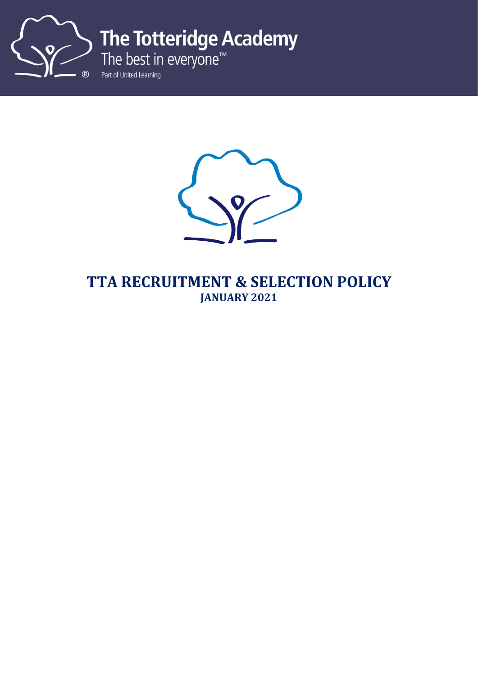

The Totteridge Academy<br>The best in everyone<sup>™</sup>

Part of United Learning



**TTA RECRUITMENT & SELECTION POLICY JANUARY 2021**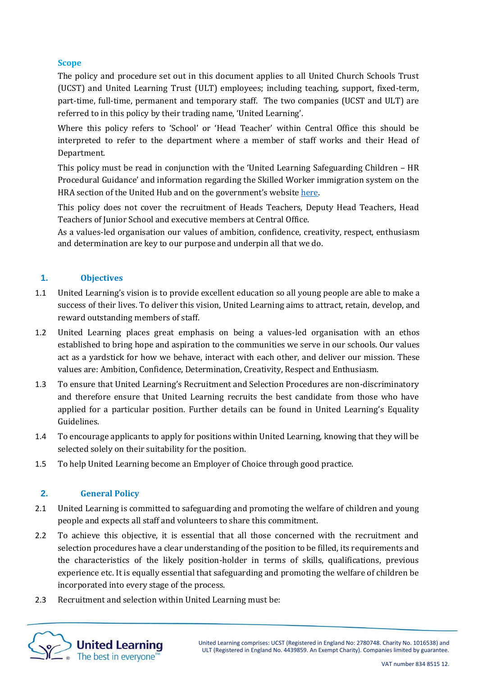### **Scope**

The policy and procedure set out in this document applies to all United Church Schools Trust (UCST) and United Learning Trust (ULT) employees; including teaching, support, fixed-term, part-time, full-time, permanent and temporary staff. The two companies (UCST and ULT) are referred to in this policy by their trading name, 'United Learning'.

Where this policy refers to 'School' or 'Head Teacher' within Central Office this should be interpreted to refer to the department where a member of staff works and their Head of Department.

This policy must be read in conjunction with the 'United Learning Safeguarding Children – HR Procedural Guidance' and information regarding the Skilled Worker immigration system on the HRA section of the United Hub and on the government's website [here.](https://eur03.safelinks.protection.outlook.com/?url=https%3A%2F%2Fwww.gov.uk%2Fgovernment%2Fpublications%2Fuk-points-based-immigration-system-employer-information%2Fthe-uks-points-based-immigration-system-an-introduction-for-employers&data=04%7C01%7C%7C0f9e31e984894d3cc16008d8978d92a2%7Ca4d068aa090e4f55a950b1b95cea1c6b%7C0%7C0%7C637425981598052996%7CUnknown%7CTWFpbGZsb3d8eyJWIjoiMC4wLjAwMDAiLCJQIjoiV2luMzIiLCJBTiI6Ik1haWwiLCJXVCI6Mn0%3D%7C1000&sdata=4EDUvMzwkiRNRAhkct8o9keyyV0BmJXDvM3W58WCUps%3D&reserved=0)

This policy does not cover the recruitment of Heads Teachers, Deputy Head Teachers, Head Teachers of Junior School and executive members at Central Office.

As a values-led organisation our values of ambition, confidence, creativity, respect, enthusiasm and determination are key to our purpose and underpin all that we do.

### **1. Objectives**

- 1.1 United Learning's vision is to provide excellent education so all young people are able to make a success of their lives. To deliver this vision, United Learning aims to attract, retain, develop, and reward outstanding members of staff.
- 1.2 United Learning places great emphasis on being a values-led organisation with an ethos established to bring hope and aspiration to the communities we serve in our schools. Our values act as a yardstick for how we behave, interact with each other, and deliver our mission. These values are: Ambition, Confidence, Determination, Creativity, Respect and Enthusiasm.
- 1.3 To ensure that United Learning's Recruitment and Selection Procedures are non-discriminatory and therefore ensure that United Learning recruits the best candidate from those who have applied for a particular position. Further details can be found in United Learning's Equality Guidelines.
- 1.4 To encourage applicants to apply for positions within United Learning, knowing that they will be selected solely on their suitability for the position.
- 1.5 To help United Learning become an Employer of Choice through good practice.

### **2. General Policy**

- 2.1 United Learning is committed to safeguarding and promoting the welfare of children and young people and expects all staff and volunteers to share this commitment.
- 2.2 To achieve this objective, it is essential that all those concerned with the recruitment and selection procedures have a clear understanding of the position to be filled, its requirements and the characteristics of the likely position-holder in terms of skills, qualifications, previous experience etc. It is equally essential that safeguarding and promoting the welfare of children be incorporated into every stage of the process.
- 2.3 Recruitment and selection within United Learning must be:

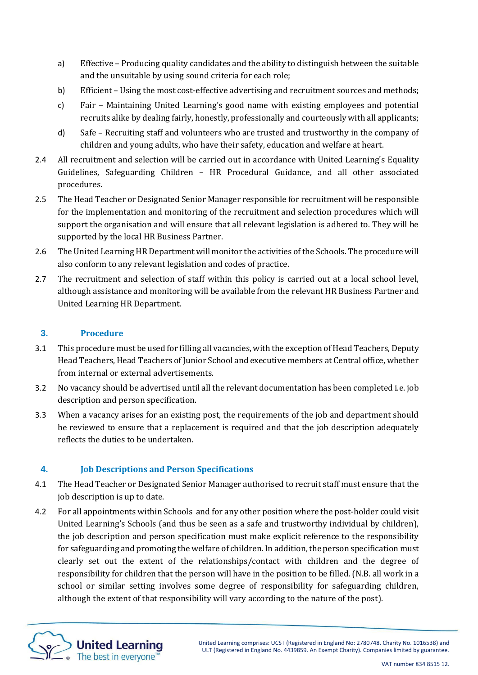- a) Effective Producing quality candidates and the ability to distinguish between the suitable and the unsuitable by using sound criteria for each role;
- b) Efficient Using the most cost-effective advertising and recruitment sources and methods;
- c) Fair Maintaining United Learning's good name with existing employees and potential recruits alike by dealing fairly, honestly, professionally and courteously with all applicants;
- d) Safe Recruiting staff and volunteers who are trusted and trustworthy in the company of children and young adults, who have their safety, education and welfare at heart.
- 2.4 All recruitment and selection will be carried out in accordance with United Learning's Equality Guidelines, Safeguarding Children – HR Procedural Guidance, and all other associated procedures.
- 2.5 The Head Teacher or Designated Senior Manager responsible for recruitment will be responsible for the implementation and monitoring of the recruitment and selection procedures which will support the organisation and will ensure that all relevant legislation is adhered to. They will be supported by the local HR Business Partner.
- 2.6 The United Learning HR Department will monitor the activities of the Schools. The procedure will also conform to any relevant legislation and codes of practice.
- 2.7 The recruitment and selection of staff within this policy is carried out at a local school level, although assistance and monitoring will be available from the relevant HR Business Partner and United Learning HR Department.

## **3. Procedure**

- 3.1 This procedure must be used for filling all vacancies, with the exception of Head Teachers, Deputy Head Teachers, Head Teachers of Junior School and executive members at Central office, whether from internal or external advertisements.
- 3.2 No vacancy should be advertised until all the relevant documentation has been completed i.e. job description and person specification.
- 3.3 When a vacancy arises for an existing post, the requirements of the job and department should be reviewed to ensure that a replacement is required and that the job description adequately reflects the duties to be undertaken.

# **4. Job Descriptions and Person Specifications**

- 4.1 The Head Teacher or Designated Senior Manager authorised to recruit staff must ensure that the job description is up to date.
- 4.2 For all appointments within Schools and for any other position where the post-holder could visit United Learning's Schools (and thus be seen as a safe and trustworthy individual by children), the job description and person specification must make explicit reference to the responsibility for safeguarding and promoting the welfare of children. In addition, the person specification must clearly set out the extent of the relationships/contact with children and the degree of responsibility for children that the person will have in the position to be filled. (N.B. all work in a school or similar setting involves some degree of responsibility for safeguarding children, although the extent of that responsibility will vary according to the nature of the post).

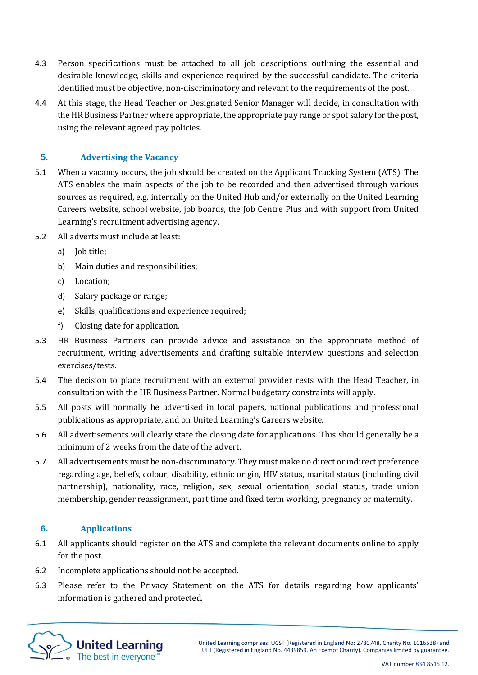- 4.3 Person specifications must be attached to all job descriptions outlining the essential and desirable knowledge, skills and experience required by the successful candidate. The criteria identified must be objective, non-discriminatory and relevant to the requirements of the post.
- 4.4 At this stage, the Head Teacher or Designated Senior Manager will decide, in consultation with the HR Business Partner where appropriate, the appropriate pay range or spot salary for the post, using the relevant agreed pay policies.

## **5. Advertising the Vacancy**

- 5.1 When a vacancy occurs, the job should be created on the Applicant Tracking System (ATS). The ATS enables the main aspects of the job to be recorded and then advertised through various sources as required, e.g. internally on the United Hub and/or externally on the United Learning Careers website, school website, job boards, the Job Centre Plus and with support from United Learning's recruitment advertising agency.
- 5.2 All adverts must include at least:
	- a) Iob title:
	- b) Main duties and responsibilities;
	- c) Location;
	- d) Salary package or range;
	- e) Skills, qualifications and experience required;
	- f) Closing date for application.
- 5.3 HR Business Partners can provide advice and assistance on the appropriate method of recruitment, writing advertisements and drafting suitable interview questions and selection exercises/tests.
- 5.4 The decision to place recruitment with an external provider rests with the Head Teacher, in consultation with the HR Business Partner. Normal budgetary constraints will apply.
- 5.5 All posts will normally be advertised in local papers, national publications and professional publications as appropriate, and on United Learning's Careers website.
- 5.6 All advertisements will clearly state the closing date for applications. This should generally be a minimum of 2 weeks from the date of the advert.
- 5.7 All advertisements must be non-discriminatory. They must make no direct or indirect preference regarding age, beliefs, colour, disability, ethnic origin, HIV status, marital status (including civil partnership), nationality, race, religion, sex, sexual orientation, social status, trade union membership, gender reassignment, part time and fixed term working, pregnancy or maternity.

### **6. Applications**

- 6.1 All applicants should register on the ATS and complete the relevant documents online to apply for the post.
- 6.2 Incomplete applications should not be accepted.
- 6.3 Please refer to the Privacy Statement on the ATS for details regarding how applicants' information is gathered and protected.

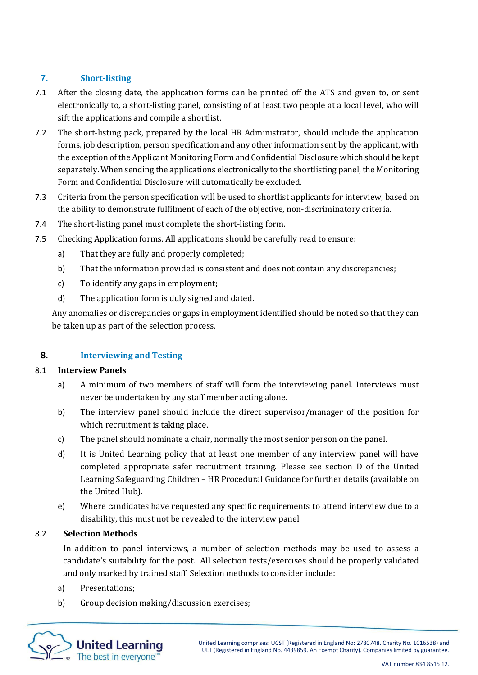# **7. Short-listing**

- 7.1 After the closing date, the application forms can be printed off the ATS and given to, or sent electronically to, a short-listing panel, consisting of at least two people at a local level, who will sift the applications and compile a shortlist.
- 7.2 The short-listing pack, prepared by the local HR Administrator, should include the application forms, job description, person specification and any other information sent by the applicant, with the exception of the Applicant Monitoring Form and Confidential Disclosure which should be kept separately. When sending the applications electronically to the shortlisting panel, the Monitoring Form and Confidential Disclosure will automatically be excluded.
- 7.3 Criteria from the person specification will be used to shortlist applicants for interview, based on the ability to demonstrate fulfilment of each of the objective, non-discriminatory criteria.
- 7.4 The short-listing panel must complete the short-listing form.
- 7.5 Checking Application forms. All applications should be carefully read to ensure:
	- a) That they are fully and properly completed;
	- b) That the information provided is consistent and does not contain any discrepancies;
	- c) To identify any gaps in employment;
	- d) The application form is duly signed and dated.

Any anomalies or discrepancies or gaps in employment identified should be noted so that they can be taken up as part of the selection process.

### **8. Interviewing and Testing**

### 8.1 **Interview Panels**

- a) A minimum of two members of staff will form the interviewing panel. Interviews must never be undertaken by any staff member acting alone.
- b) The interview panel should include the direct supervisor/manager of the position for which recruitment is taking place.
- c) The panel should nominate a chair, normally the most senior person on the panel.
- d) It is United Learning policy that at least one member of any interview panel will have completed appropriate safer recruitment training. Please see section D of the United Learning Safeguarding Children – HR Procedural Guidance for further details (available on the United Hub).
- e) Where candidates have requested any specific requirements to attend interview due to a disability, this must not be revealed to the interview panel.

### 8.2 **Selection Methods**

In addition to panel interviews, a number of selection methods may be used to assess a candidate's suitability for the post. All selection tests/exercises should be properly validated and only marked by trained staff. Selection methods to consider include:

- a) Presentations;
- b) Group decision making/discussion exercises;

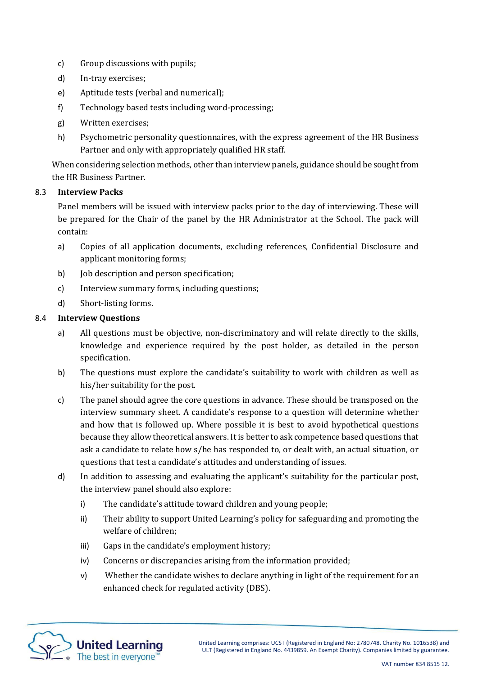- c) Group discussions with pupils;
- d) In-tray exercises;
- e) Aptitude tests (verbal and numerical);
- f) Technology based tests including word-processing;
- g) Written exercises;
- h) Psychometric personality questionnaires, with the express agreement of the HR Business Partner and only with appropriately qualified HR staff.

When considering selection methods, other than interview panels, guidance should be sought from the HR Business Partner.

### 8.3 **Interview Packs**

Panel members will be issued with interview packs prior to the day of interviewing. These will be prepared for the Chair of the panel by the HR Administrator at the School. The pack will contain:

- a) Copies of all application documents, excluding references, Confidential Disclosure and applicant monitoring forms;
- b) Job description and person specification;
- c) Interview summary forms, including questions;
- d) Short-listing forms.

### 8.4 **Interview Questions**

- a) All questions must be objective, non-discriminatory and will relate directly to the skills, knowledge and experience required by the post holder, as detailed in the person specification.
- b) The questions must explore the candidate's suitability to work with children as well as his/her suitability for the post.
- c) The panel should agree the core questions in advance. These should be transposed on the interview summary sheet. A candidate's response to a question will determine whether and how that is followed up. Where possible it is best to avoid hypothetical questions because they allow theoretical answers. It is better to ask competence based questions that ask a candidate to relate how s/he has responded to, or dealt with, an actual situation, or questions that test a candidate's attitudes and understanding of issues.
- d) In addition to assessing and evaluating the applicant's suitability for the particular post, the interview panel should also explore:
	- i) The candidate's attitude toward children and young people;
	- ii) Their ability to support United Learning's policy for safeguarding and promoting the welfare of children;
	- iii) Gaps in the candidate's employment history;
	- iv) Concerns or discrepancies arising from the information provided;
	- v) Whether the candidate wishes to declare anything in light of the requirement for an enhanced check for regulated activity (DBS).

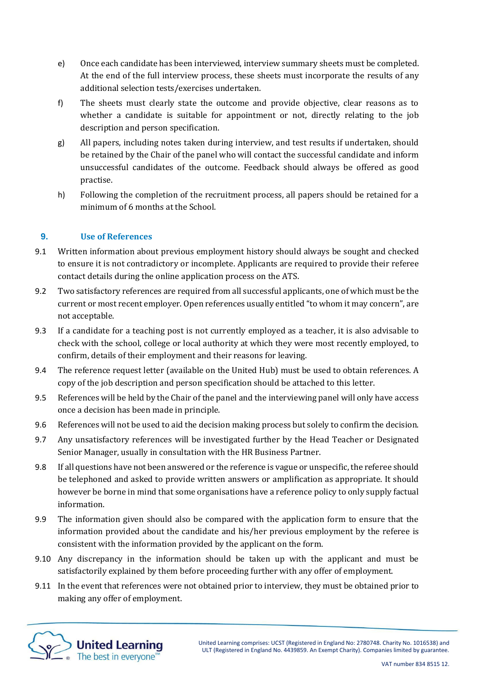- e) Once each candidate has been interviewed, interview summary sheets must be completed. At the end of the full interview process, these sheets must incorporate the results of any additional selection tests/exercises undertaken.
- f) The sheets must clearly state the outcome and provide objective, clear reasons as to whether a candidate is suitable for appointment or not, directly relating to the job description and person specification.
- g) All papers, including notes taken during interview, and test results if undertaken, should be retained by the Chair of the panel who will contact the successful candidate and inform unsuccessful candidates of the outcome. Feedback should always be offered as good practise.
- h) Following the completion of the recruitment process, all papers should be retained for a minimum of 6 months at the School.

## **9. Use of References**

- 9.1 Written information about previous employment history should always be sought and checked to ensure it is not contradictory or incomplete. Applicants are required to provide their referee contact details during the online application process on the ATS.
- 9.2 Two satisfactory references are required from all successful applicants, one of which must be the current or most recent employer. Open references usually entitled "to whom it may concern", are not acceptable.
- 9.3 If a candidate for a teaching post is not currently employed as a teacher, it is also advisable to check with the school, college or local authority at which they were most recently employed, to confirm, details of their employment and their reasons for leaving.
- 9.4 The reference request letter (available on the United Hub) must be used to obtain references. A copy of the job description and person specification should be attached to this letter.
- 9.5 References will be held by the Chair of the panel and the interviewing panel will only have access once a decision has been made in principle.
- 9.6 References will not be used to aid the decision making process but solely to confirm the decision.
- 9.7 Any unsatisfactory references will be investigated further by the Head Teacher or Designated Senior Manager, usually in consultation with the HR Business Partner.
- 9.8 If all questions have not been answered or the reference is vague or unspecific, the referee should be telephoned and asked to provide written answers or amplification as appropriate. It should however be borne in mind that some organisations have a reference policy to only supply factual information.
- 9.9 The information given should also be compared with the application form to ensure that the information provided about the candidate and his/her previous employment by the referee is consistent with the information provided by the applicant on the form.
- 9.10 Any discrepancy in the information should be taken up with the applicant and must be satisfactorily explained by them before proceeding further with any offer of employment.
- 9.11 In the event that references were not obtained prior to interview, they must be obtained prior to making any offer of employment.

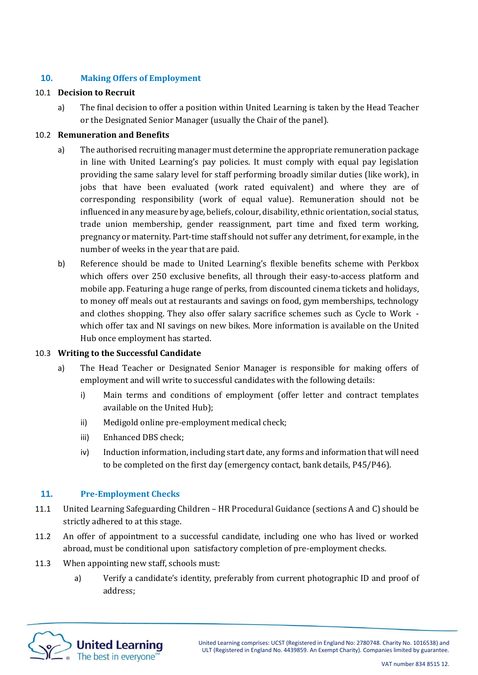## **10. Making Offers of Employment**

### 10.1 **Decision to Recruit**

a) The final decision to offer a position within United Learning is taken by the Head Teacher or the Designated Senior Manager (usually the Chair of the panel).

### 10.2 **Remuneration and Benefits**

- a) The authorised recruiting manager must determine the appropriate remuneration package in line with United Learning's pay policies. It must comply with equal pay legislation providing the same salary level for staff performing broadly similar duties (like work), in jobs that have been evaluated (work rated equivalent) and where they are of corresponding responsibility (work of equal value). Remuneration should not be influenced in any measure by age, beliefs, colour, disability, ethnic orientation, social status, trade union membership, gender reassignment, part time and fixed term working, pregnancy or maternity. Part-time staff should not suffer any detriment, for example, in the number of weeks in the year that are paid.
- b) Reference should be made to United Learning's flexible benefits scheme with Perkbox which offers over 250 exclusive benefits, all through their easy-to-access platform and mobile app. Featuring a huge range of perks, from discounted cinema tickets and holidays, to money off meals out at restaurants and savings on food, gym memberships, technology and clothes shopping. They also offer salary sacrifice schemes such as Cycle to Work which offer tax and NI savings on new bikes. More information is available on the United Hub once employment has started.

### 10.3 **Writing to the Successful Candidate**

- a) The Head Teacher or Designated Senior Manager is responsible for making offers of employment and will write to successful candidates with the following details:
	- i) Main terms and conditions of employment (offer letter and contract templates available on the United Hub);
	- ii) Medigold online pre-employment medical check;
	- iii) Enhanced DBS check;
	- iv) Induction information, including start date, any forms and information that will need to be completed on the first day (emergency contact, bank details, P45/P46).

### **11. Pre-Employment Checks**

- 11.1 United Learning Safeguarding Children HR Procedural Guidance (sections A and C) should be strictly adhered to at this stage.
- 11.2 An offer of appointment to a successful candidate, including one who has lived or worked abroad, must be conditional upon satisfactory completion of pre-employment checks.
- 11.3 When appointing new staff, schools must:
	- a) Verify a candidate's identity, preferably from current photographic ID and proof of address;

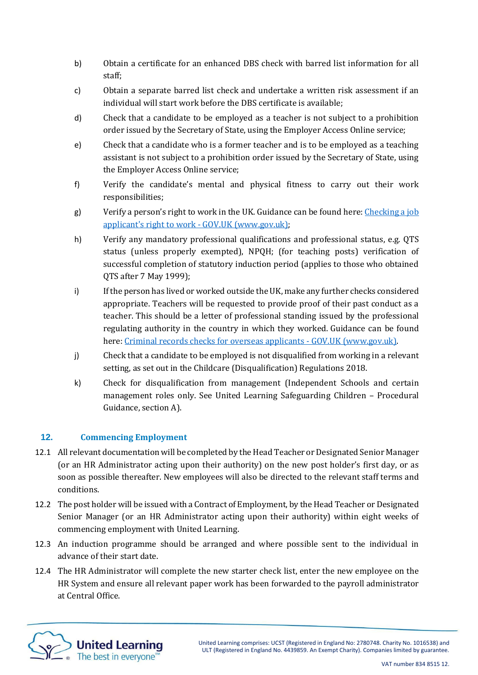- b) Obtain a certificate for an enhanced DBS check with barred list information for all staff;
- c) Obtain a separate barred list check and undertake a written risk assessment if an individual will start work before the DBS certificate is available;
- d) Check that a candidate to be employed as a teacher is not subject to a prohibition order issued by the Secretary of State, using the Employer Access Online service;
- e) Check that a candidate who is a former teacher and is to be employed as a teaching assistant is not subject to a prohibition order issued by the Secretary of State, using the Employer Access Online service;
- f) Verify the candidate's mental and physical fitness to carry out their work responsibilities;
- g) Verify a person's right to work in the UK. Guidance can be found here: Checking a job applicant's right to work - GOV.UK (www.gov.uk);
- h) Verify any mandatory professional qualifications and professional status, e.g. QTS status (unless properly exempted), NPQH; (for teaching posts) verification of successful completion of statutory induction period (applies to those who obtained QTS after 7 May 1999);
- i) Ifthe person has lived or worked outside the UK, make any further checks considered appropriate. Teachers will be requested to provide proof of their past conduct as a teacher. This should be a letter of professional standing issued by the professional regulating authority in the country in which they worked. Guidance can be found here: [Criminal records checks for overseas applicants -](https://www.gov.uk/government/publications/criminal-records-checks-for-overseas-applicants) GOV.UK (www.gov.uk).
- j) Check that a candidate to be employed is not disqualified from working in a relevant setting, as set out in the Childcare (Disqualification) Regulations 2018.
- k) Check for disqualification from management (Independent Schools and certain management roles only. See United Learning Safeguarding Children – Procedural Guidance, section A).

# **12. Commencing Employment**

- 12.1 All relevant documentation will be completed by the Head Teacher or Designated Senior Manager (or an HR Administrator acting upon their authority) on the new post holder's first day, or as soon as possible thereafter. New employees will also be directed to the relevant staff terms and conditions.
- 12.2 The post holder will be issued with a Contract of Employment, by the Head Teacher or Designated Senior Manager (or an HR Administrator acting upon their authority) within eight weeks of commencing employment with United Learning.
- 12.3 An induction programme should be arranged and where possible sent to the individual in advance of their start date.
- 12.4 The HR Administrator will complete the new starter check list, enter the new employee on the HR System and ensure all relevant paper work has been forwarded to the payroll administrator at Central Office.

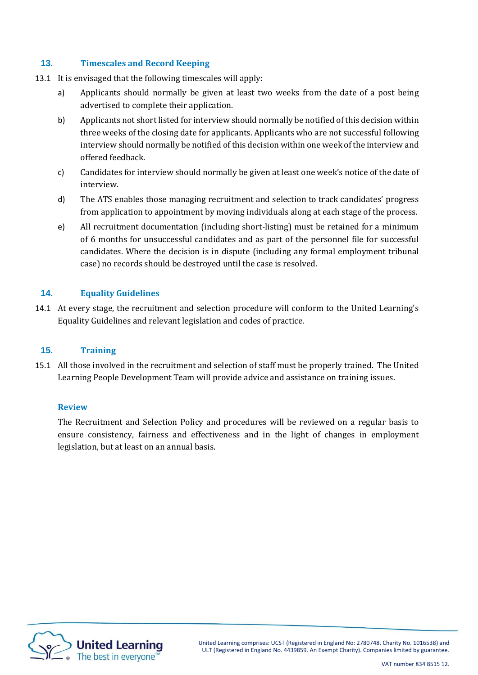### **13. Timescales and Record Keeping**

- 13.1 It is envisaged that the following timescales will apply:
	- a) Applicants should normally be given at least two weeks from the date of a post being advertised to complete their application.
	- b) Applicants not short listed for interview should normally be notified of this decision within three weeks of the closing date for applicants. Applicants who are not successful following interview should normally be notified of this decision within one week of the interview and offered feedback.
	- c) Candidates for interview should normally be given at least one week's notice of the date of interview.
	- d) The ATS enables those managing recruitment and selection to track candidates' progress from application to appointment by moving individuals along at each stage of the process.
	- e) All recruitment documentation (including short-listing) must be retained for a minimum of 6 months for unsuccessful candidates and as part of the personnel file for successful candidates. Where the decision is in dispute (including any formal employment tribunal case) no records should be destroyed until the case is resolved.

### **14. Equality Guidelines**

14.1 At every stage, the recruitment and selection procedure will conform to the United Learning's Equality Guidelines and relevant legislation and codes of practice.

### **15. Training**

15.1 All those involved in the recruitment and selection of staff must be properly trained. The United Learning People Development Team will provide advice and assistance on training issues.

### **Review**

The Recruitment and Selection Policy and procedures will be reviewed on a regular basis to ensure consistency, fairness and effectiveness and in the light of changes in employment legislation, but at least on an annual basis.